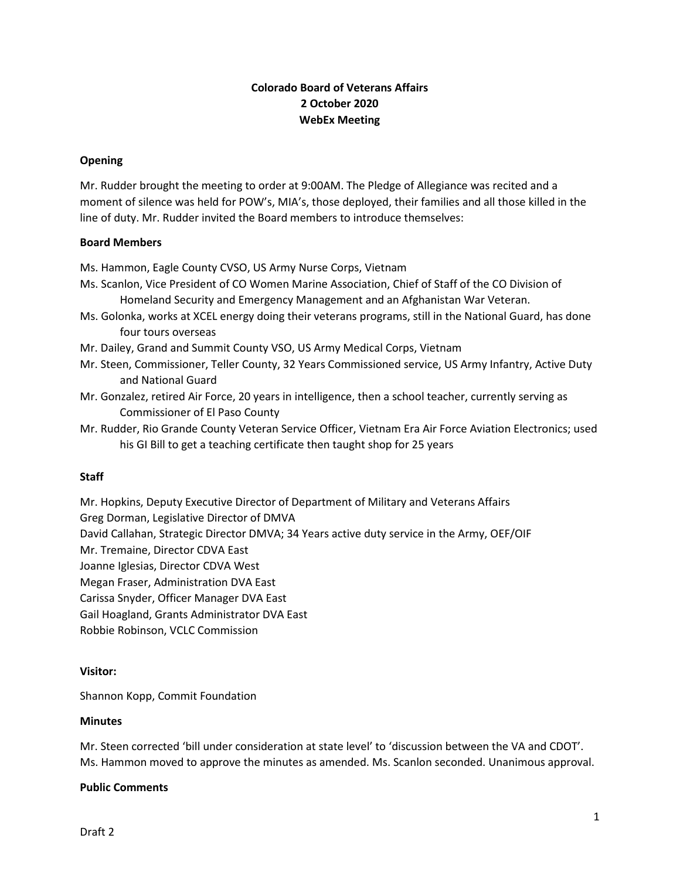# **Colorado Board of Veterans Affairs 2 October 2020 WebEx Meeting**

### **Opening**

Mr. Rudder brought the meeting to order at 9:00AM. The Pledge of Allegiance was recited and a moment of silence was held for POW's, MIA's, those deployed, their families and all those killed in the line of duty. Mr. Rudder invited the Board members to introduce themselves:

#### **Board Members**

Ms. Hammon, Eagle County CVSO, US Army Nurse Corps, Vietnam

- Ms. Scanlon, Vice President of CO Women Marine Association, Chief of Staff of the CO Division of Homeland Security and Emergency Management and an Afghanistan War Veteran.
- Ms. Golonka, works at XCEL energy doing their veterans programs, still in the National Guard, has done four tours overseas
- Mr. Dailey, Grand and Summit County VSO, US Army Medical Corps, Vietnam
- Mr. Steen, Commissioner, Teller County, 32 Years Commissioned service, US Army Infantry, Active Duty and National Guard
- Mr. Gonzalez, retired Air Force, 20 years in intelligence, then a school teacher, currently serving as Commissioner of El Paso County
- Mr. Rudder, Rio Grande County Veteran Service Officer, Vietnam Era Air Force Aviation Electronics; used his GI Bill to get a teaching certificate then taught shop for 25 years

# **Staff**

Mr. Hopkins, Deputy Executive Director of Department of Military and Veterans Affairs Greg Dorman, Legislative Director of DMVA David Callahan, Strategic Director DMVA; 34 Years active duty service in the Army, OEF/OIF Mr. Tremaine, Director CDVA East Joanne Iglesias, Director CDVA West Megan Fraser, Administration DVA East Carissa Snyder, Officer Manager DVA East Gail Hoagland, Grants Administrator DVA East Robbie Robinson, VCLC Commission

# **Visitor:**

Shannon Kopp, Commit Foundation

#### **Minutes**

Mr. Steen corrected 'bill under consideration at state level' to 'discussion between the VA and CDOT'. Ms. Hammon moved to approve the minutes as amended. Ms. Scanlon seconded. Unanimous approval.

# **Public Comments**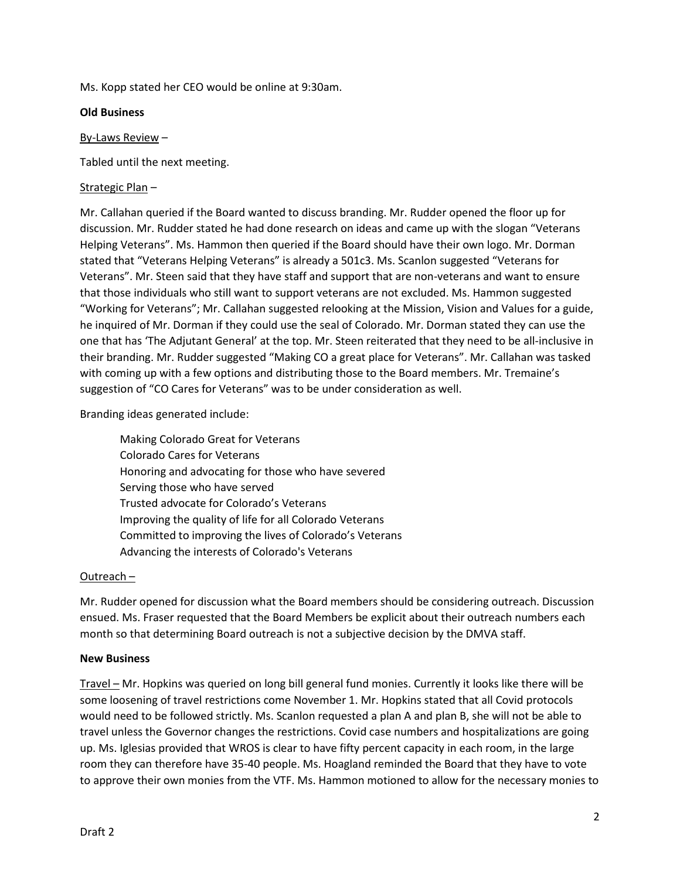Ms. Kopp stated her CEO would be online at 9:30am.

### **Old Business**

### By-Laws Review –

Tabled until the next meeting.

# Strategic Plan –

Mr. Callahan queried if the Board wanted to discuss branding. Mr. Rudder opened the floor up for discussion. Mr. Rudder stated he had done research on ideas and came up with the slogan "Veterans Helping Veterans". Ms. Hammon then queried if the Board should have their own logo. Mr. Dorman stated that "Veterans Helping Veterans" is already a 501c3. Ms. Scanlon suggested "Veterans for Veterans". Mr. Steen said that they have staff and support that are non-veterans and want to ensure that those individuals who still want to support veterans are not excluded. Ms. Hammon suggested "Working for Veterans"; Mr. Callahan suggested relooking at the Mission, Vision and Values for a guide, he inquired of Mr. Dorman if they could use the seal of Colorado. Mr. Dorman stated they can use the one that has 'The Adjutant General' at the top. Mr. Steen reiterated that they need to be all-inclusive in their branding. Mr. Rudder suggested "Making CO a great place for Veterans". Mr. Callahan was tasked with coming up with a few options and distributing those to the Board members. Mr. Tremaine's suggestion of "CO Cares for Veterans" was to be under consideration as well.

# Branding ideas generated include:

Making Colorado Great for Veterans Colorado Cares for Veterans Honoring and advocating for those who have severed Serving those who have served Trusted advocate for Colorado's Veterans Improving the quality of life for all Colorado Veterans Committed to improving the lives of Colorado's Veterans Advancing the interests of Colorado's Veterans

# Outreach –

Mr. Rudder opened for discussion what the Board members should be considering outreach. Discussion ensued. Ms. Fraser requested that the Board Members be explicit about their outreach numbers each month so that determining Board outreach is not a subjective decision by the DMVA staff.

#### **New Business**

Travel – Mr. Hopkins was queried on long bill general fund monies. Currently it looks like there will be some loosening of travel restrictions come November 1. Mr. Hopkins stated that all Covid protocols would need to be followed strictly. Ms. Scanlon requested a plan A and plan B, she will not be able to travel unless the Governor changes the restrictions. Covid case numbers and hospitalizations are going up. Ms. Iglesias provided that WROS is clear to have fifty percent capacity in each room, in the large room they can therefore have 35-40 people. Ms. Hoagland reminded the Board that they have to vote to approve their own monies from the VTF. Ms. Hammon motioned to allow for the necessary monies to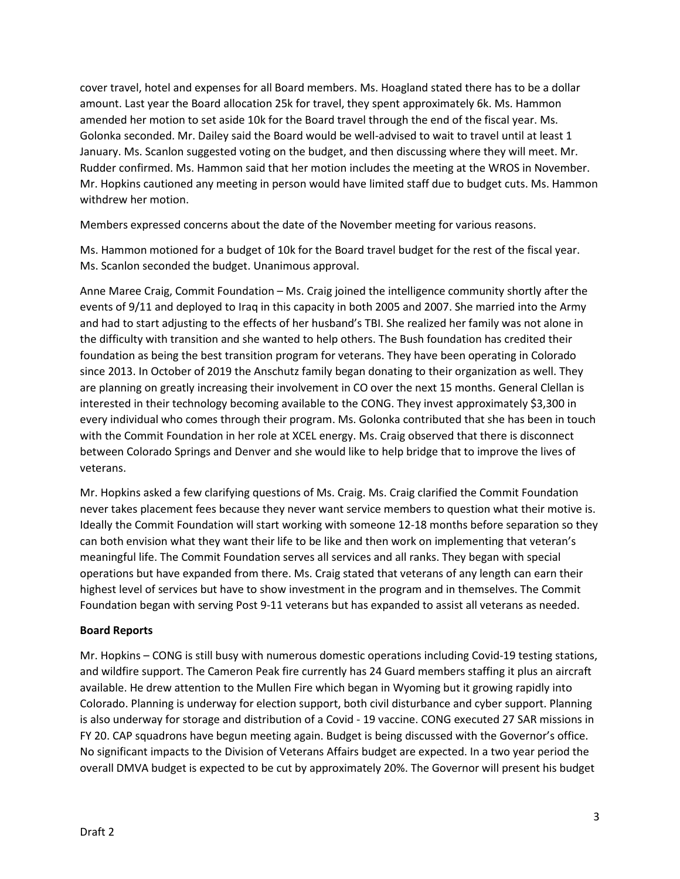cover travel, hotel and expenses for all Board members. Ms. Hoagland stated there has to be a dollar amount. Last year the Board allocation 25k for travel, they spent approximately 6k. Ms. Hammon amended her motion to set aside 10k for the Board travel through the end of the fiscal year. Ms. Golonka seconded. Mr. Dailey said the Board would be well-advised to wait to travel until at least 1 January. Ms. Scanlon suggested voting on the budget, and then discussing where they will meet. Mr. Rudder confirmed. Ms. Hammon said that her motion includes the meeting at the WROS in November. Mr. Hopkins cautioned any meeting in person would have limited staff due to budget cuts. Ms. Hammon withdrew her motion.

Members expressed concerns about the date of the November meeting for various reasons.

Ms. Hammon motioned for a budget of 10k for the Board travel budget for the rest of the fiscal year. Ms. Scanlon seconded the budget. Unanimous approval.

Anne Maree Craig, Commit Foundation – Ms. Craig joined the intelligence community shortly after the events of 9/11 and deployed to Iraq in this capacity in both 2005 and 2007. She married into the Army and had to start adjusting to the effects of her husband's TBI. She realized her family was not alone in the difficulty with transition and she wanted to help others. The Bush foundation has credited their foundation as being the best transition program for veterans. They have been operating in Colorado since 2013. In October of 2019 the Anschutz family began donating to their organization as well. They are planning on greatly increasing their involvement in CO over the next 15 months. General Clellan is interested in their technology becoming available to the CONG. They invest approximately \$3,300 in every individual who comes through their program. Ms. Golonka contributed that she has been in touch with the Commit Foundation in her role at XCEL energy. Ms. Craig observed that there is disconnect between Colorado Springs and Denver and she would like to help bridge that to improve the lives of veterans.

Mr. Hopkins asked a few clarifying questions of Ms. Craig. Ms. Craig clarified the Commit Foundation never takes placement fees because they never want service members to question what their motive is. Ideally the Commit Foundation will start working with someone 12-18 months before separation so they can both envision what they want their life to be like and then work on implementing that veteran's meaningful life. The Commit Foundation serves all services and all ranks. They began with special operations but have expanded from there. Ms. Craig stated that veterans of any length can earn their highest level of services but have to show investment in the program and in themselves. The Commit Foundation began with serving Post 9-11 veterans but has expanded to assist all veterans as needed.

# **Board Reports**

Mr. Hopkins – CONG is still busy with numerous domestic operations including Covid-19 testing stations, and wildfire support. The Cameron Peak fire currently has 24 Guard members staffing it plus an aircraft available. He drew attention to the Mullen Fire which began in Wyoming but it growing rapidly into Colorado. Planning is underway for election support, both civil disturbance and cyber support. Planning is also underway for storage and distribution of a Covid - 19 vaccine. CONG executed 27 SAR missions in FY 20. CAP squadrons have begun meeting again. Budget is being discussed with the Governor's office. No significant impacts to the Division of Veterans Affairs budget are expected. In a two year period the overall DMVA budget is expected to be cut by approximately 20%. The Governor will present his budget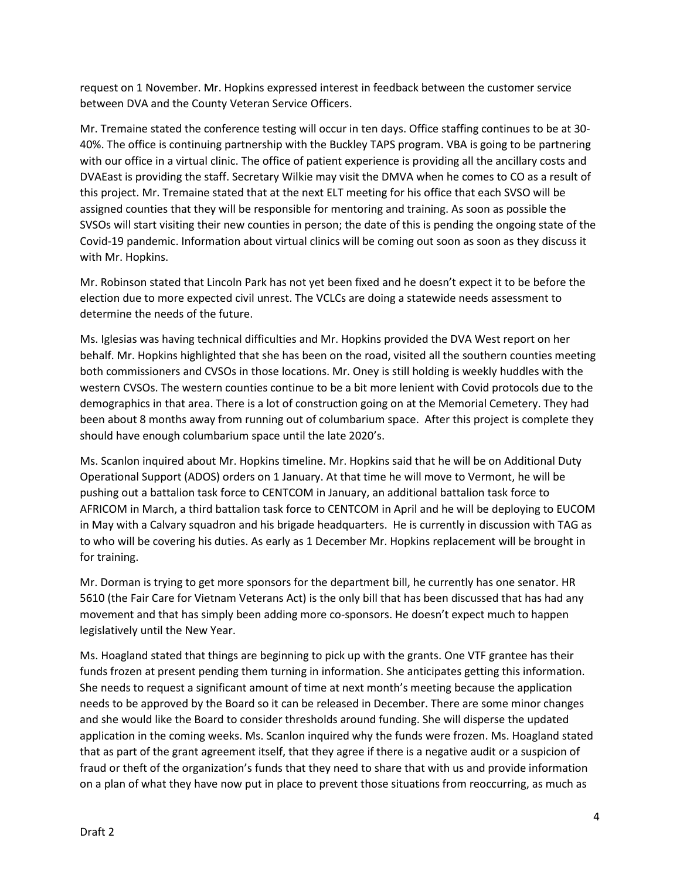request on 1 November. Mr. Hopkins expressed interest in feedback between the customer service between DVA and the County Veteran Service Officers.

Mr. Tremaine stated the conference testing will occur in ten days. Office staffing continues to be at 30- 40%. The office is continuing partnership with the Buckley TAPS program. VBA is going to be partnering with our office in a virtual clinic. The office of patient experience is providing all the ancillary costs and DVAEast is providing the staff. Secretary Wilkie may visit the DMVA when he comes to CO as a result of this project. Mr. Tremaine stated that at the next ELT meeting for his office that each SVSO will be assigned counties that they will be responsible for mentoring and training. As soon as possible the SVSOs will start visiting their new counties in person; the date of this is pending the ongoing state of the Covid-19 pandemic. Information about virtual clinics will be coming out soon as soon as they discuss it with Mr. Hopkins.

Mr. Robinson stated that Lincoln Park has not yet been fixed and he doesn't expect it to be before the election due to more expected civil unrest. The VCLCs are doing a statewide needs assessment to determine the needs of the future.

Ms. Iglesias was having technical difficulties and Mr. Hopkins provided the DVA West report on her behalf. Mr. Hopkins highlighted that she has been on the road, visited all the southern counties meeting both commissioners and CVSOs in those locations. Mr. Oney is still holding is weekly huddles with the western CVSOs. The western counties continue to be a bit more lenient with Covid protocols due to the demographics in that area. There is a lot of construction going on at the Memorial Cemetery. They had been about 8 months away from running out of columbarium space. After this project is complete they should have enough columbarium space until the late 2020's.

Ms. Scanlon inquired about Mr. Hopkins timeline. Mr. Hopkins said that he will be on Additional Duty Operational Support (ADOS) orders on 1 January. At that time he will move to Vermont, he will be pushing out a battalion task force to CENTCOM in January, an additional battalion task force to AFRICOM in March, a third battalion task force to CENTCOM in April and he will be deploying to EUCOM in May with a Calvary squadron and his brigade headquarters. He is currently in discussion with TAG as to who will be covering his duties. As early as 1 December Mr. Hopkins replacement will be brought in for training.

Mr. Dorman is trying to get more sponsors for the department bill, he currently has one senator. HR 5610 (the Fair Care for Vietnam Veterans Act) is the only bill that has been discussed that has had any movement and that has simply been adding more co-sponsors. He doesn't expect much to happen legislatively until the New Year.

Ms. Hoagland stated that things are beginning to pick up with the grants. One VTF grantee has their funds frozen at present pending them turning in information. She anticipates getting this information. She needs to request a significant amount of time at next month's meeting because the application needs to be approved by the Board so it can be released in December. There are some minor changes and she would like the Board to consider thresholds around funding. She will disperse the updated application in the coming weeks. Ms. Scanlon inquired why the funds were frozen. Ms. Hoagland stated that as part of the grant agreement itself, that they agree if there is a negative audit or a suspicion of fraud or theft of the organization's funds that they need to share that with us and provide information on a plan of what they have now put in place to prevent those situations from reoccurring, as much as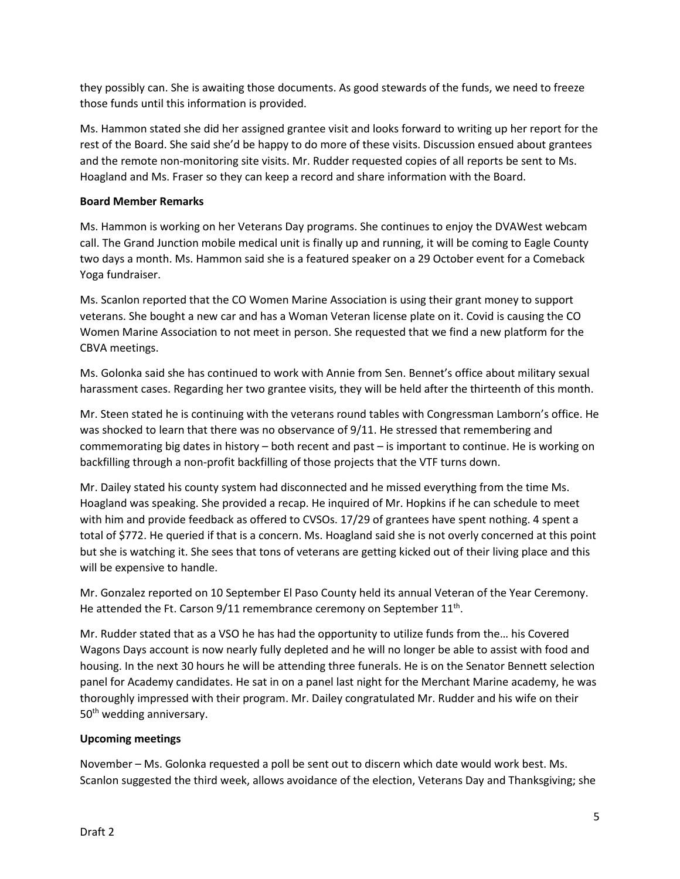they possibly can. She is awaiting those documents. As good stewards of the funds, we need to freeze those funds until this information is provided.

Ms. Hammon stated she did her assigned grantee visit and looks forward to writing up her report for the rest of the Board. She said she'd be happy to do more of these visits. Discussion ensued about grantees and the remote non-monitoring site visits. Mr. Rudder requested copies of all reports be sent to Ms. Hoagland and Ms. Fraser so they can keep a record and share information with the Board.

# **Board Member Remarks**

Ms. Hammon is working on her Veterans Day programs. She continues to enjoy the DVAWest webcam call. The Grand Junction mobile medical unit is finally up and running, it will be coming to Eagle County two days a month. Ms. Hammon said she is a featured speaker on a 29 October event for a Comeback Yoga fundraiser.

Ms. Scanlon reported that the CO Women Marine Association is using their grant money to support veterans. She bought a new car and has a Woman Veteran license plate on it. Covid is causing the CO Women Marine Association to not meet in person. She requested that we find a new platform for the CBVA meetings.

Ms. Golonka said she has continued to work with Annie from Sen. Bennet's office about military sexual harassment cases. Regarding her two grantee visits, they will be held after the thirteenth of this month.

Mr. Steen stated he is continuing with the veterans round tables with Congressman Lamborn's office. He was shocked to learn that there was no observance of 9/11. He stressed that remembering and commemorating big dates in history – both recent and past – is important to continue. He is working on backfilling through a non-profit backfilling of those projects that the VTF turns down.

Mr. Dailey stated his county system had disconnected and he missed everything from the time Ms. Hoagland was speaking. She provided a recap. He inquired of Mr. Hopkins if he can schedule to meet with him and provide feedback as offered to CVSOs. 17/29 of grantees have spent nothing. 4 spent a total of \$772. He queried if that is a concern. Ms. Hoagland said she is not overly concerned at this point but she is watching it. She sees that tons of veterans are getting kicked out of their living place and this will be expensive to handle.

Mr. Gonzalez reported on 10 September El Paso County held its annual Veteran of the Year Ceremony. He attended the Ft. Carson  $9/11$  remembrance ceremony on September  $11<sup>th</sup>$ .

Mr. Rudder stated that as a VSO he has had the opportunity to utilize funds from the… his Covered Wagons Days account is now nearly fully depleted and he will no longer be able to assist with food and housing. In the next 30 hours he will be attending three funerals. He is on the Senator Bennett selection panel for Academy candidates. He sat in on a panel last night for the Merchant Marine academy, he was thoroughly impressed with their program. Mr. Dailey congratulated Mr. Rudder and his wife on their 50<sup>th</sup> wedding anniversary.

# **Upcoming meetings**

November – Ms. Golonka requested a poll be sent out to discern which date would work best. Ms. Scanlon suggested the third week, allows avoidance of the election, Veterans Day and Thanksgiving; she